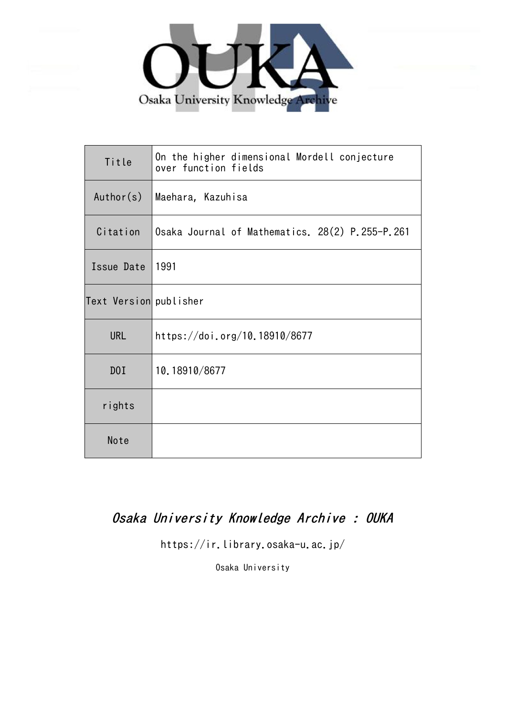

| Title                  | On the higher dimensional Mordell conjecture<br>over function fields |  |  |  |
|------------------------|----------------------------------------------------------------------|--|--|--|
| Author(s)              | Maehara, Kazuhisa                                                    |  |  |  |
| Citation               | Osaka Journal of Mathematics. 28(2) P.255-P.261                      |  |  |  |
| Issue Date             | 1991                                                                 |  |  |  |
| Text Version publisher |                                                                      |  |  |  |
| <b>URL</b>             | https://doi.org/10.18910/8677                                        |  |  |  |
| D0I                    | 10.18910/8677                                                        |  |  |  |
| rights                 |                                                                      |  |  |  |
| Note                   |                                                                      |  |  |  |

# Osaka University Knowledge Archive : OUKA

https://ir.library.osaka-u.ac.jp/

Osaka University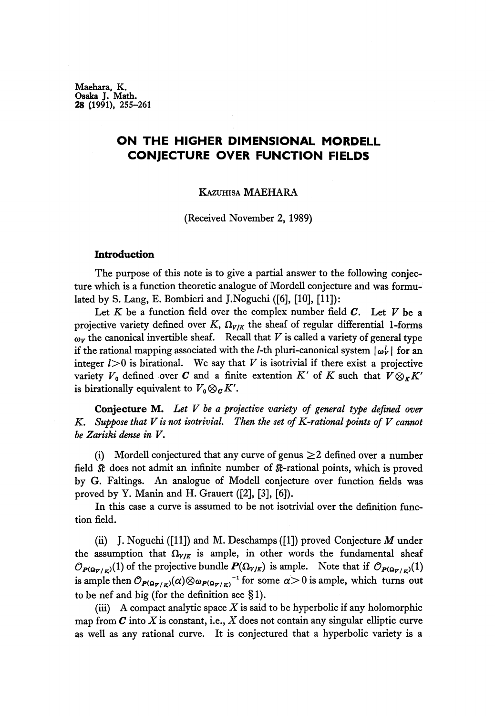Maehara, K. Osaka J. Math. 28 (1991), 255-261

## **ON THE HIGHER DIMENSIONAL MORDELL CONJECTURE OVER FUNCTION FIELDS**

### KAZUHISA MAEHARA

(Received November 2, 1989)

### **Introduction**

The purpose of this note is to give a partial answer to the following conjec ture which is a function theoretic analogue of Mordell conjecture and was formu lated by S. Lang, E. Bombieri and J.Noguchi ([6], [10], [11]):

Let *K* be a function field over the complex number field *C.* Let *V* be a projective variety defined over  $K$ ,  $\Omega_{V/K}$  the sheaf of regular differential 1-forms *v* the canonical invertible sheaf. Recall that *V* is called a variety of general type if the rational mapping associated with the *l*-th pluri-canonical system  $|\omega_Y|$  for an integer  $l>0$  is birational. We say that  $V$  is isotrivial if there exist a projective variety  $V_0$  defined over  $C$  and a finite extention  $K'$  of  $K$  such that  $V \otimes_K K'$ is birationally equivalent to  $V_0 \otimes_{\bm{C}} K'.$ 

**Conjecture** M. *Let V be a projective variety of general type defined over K. Suppose that V is not isotrivial. Then the set of K-rational points of V cannot be Zariski dense in V.*

(i) Mordell conjectured that any curve of genus  $\geq 2$  defined over a number field ® does not admit an infinite number of β-rational points, which is proved by G. Faltings. An analogue of Modell conjecture over function fields was proved by Y. Manin and H. Grauert ([2], [3], [6]).

In this case a curve is assumed to be not isotrivial over the definition func tion field.

(ii) J. Noguchi ([11]) and M. Deschamps ([1]) proved Conjecture *M* under the assumption that  $\Omega_{V/K}$  is ample, in other words the fundamental sheaf  $\mathcal{O}_{P(\Omega_{\overline{Y}/K})}(1)$  of the projective bundle  $P(\Omega_{V/K})$  is ample. Note that if  $\mathcal{O}_{P(\Omega_{\overline{Y}}/K)}(1)$ is ample then  $\mathcal{O}_{P(\mathbf{\Omega_{T/K}})}(\alpha) \otimes_{\mathcal{O}_{P(\mathbf{\Omega_{T/K}})}}^{-1}$  for some  $\alpha > 0$  is ample, which turns out to be nef and big (for the definition see § 1).

(iii) A compact analytic space *X* is said to be hyperbolic if any holomorphic map from  $C$  into  $X$  is constant, i.e.,  $X$  does not contain any singular elliptic curve as well as any rational curve. It is conjectured that a hyperbolic variety is a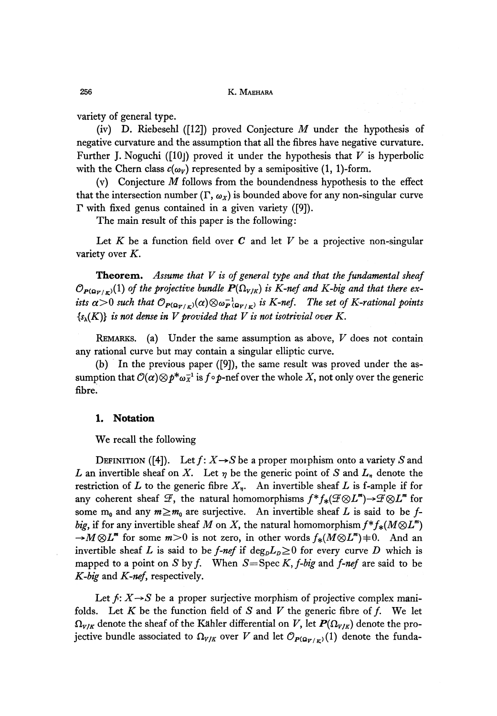variety of general type.

(iv) D. Riebesehl ([12]) proved Conjecture *M* under the hypothesis of negative curvature and the assumption that all the fibres have negative curvature. Further J. Noguchi ([10j) proved it under the hypothesis that *V* is hyperbolic with the Chern class  $c(\omega_V)$  represented by a semipositive (1, 1)-form.

(v) Conjecture *M* follows from the boundendness hypothesis to the effect that the intersection number  $(\Gamma, \omega_X)$  is bounded above for any non-singular curve  $\Gamma$  with fixed genus contained in a given variety ([9]).

The main result of this paper is the following:

Let *K* be a function field over *C* and let *V* be a projective non-singular variety over *K.*

**Theorem.** *Assume that V is of general type and that the fundamental sheaf*  $\mathcal{O}_{\bm{P}(\bm{\Omega}_{\bm{V/K}})}(1)$  of the projective bundle  $\bm{P}(\Omega_{\bm{V/K}})$  is  $K$ -nef and  $K$ -big and that there ex*ists*  $\alpha$   $>$  0 such that  $\mathcal{O}_{P(\mathbf{\Omega}_{\bm{V}/E})}(\alpha) \otimes \omega_{P(\mathbf{\Omega}_{\bm{V}/E})}^{-1}$  is K-nef. The set of K-rational points  ${s_{\lambda}(K)}$  is not dense in V provided that V is not isotrivial over K.

REMARKS, (a) Under the same assumption as above, *V* does not contain any rational curve but may contain a singular elliptic curve.

(b) In the previous paper ([9]), the same result was proved under the as sumption that  $\mathcal{O}(\alpha) \otimes p^* \omega_X^{-1}$  is  $f \circ p$ -nef over the whole X, not only over the generic fibre.

#### **1. Notation**

We recall the following

DEFINITION ([4]). Let  $f: X \rightarrow S$  be a proper morphism onto a variety S and *L* an invertible sheaf on *X.* Let *η* be the generic point of *S* and *L<sup>v</sup>* denote the restriction of  $L$  to the generic fibre  $X_n$ . An invertible sheaf  $L$  is f-ample if for any coherent sheaf  $\mathcal F,$  the natural homomorphisms  $f^*f_*(\mathcal{F}\!\otimes\!L^m)\!\!\rightarrow\!\!\mathcal{F}\!\otimes\!L^m$  for some  $m_0$  and any  $m \ge m_0$  are surjective. An invertible sheaf  $L$  is said to be  $f$ *big,* if for any invertible sheaf M on X, the natural homomorphism  $f^*f_*(M \otimes L^m)$  $\rightarrow M\otimes L^m$  for some  $m>0$  is not zero, in other words  $f_*(M\otimes L^m)=0$ . And an invertible sheaf *L* is said to be *f-nef* if  $\deg_{D}L_{D} \geq 0$  for every curve *D* which is mapped to a point on *S* by *f*. When *S*=Spec *K*, *f*-big and *f*-nef are said to be *K-big* and *K-nef,* respectively.

Let  $f: X \rightarrow S$  be a proper surjective morphism of projective complex manifolds. Let  $K$  be the function field of  $S$  and  $V$  the generic fibre of  $f$ . We let  $\Omega_{\rm v/K}$  denote the sheaf of the Kahler differential on  $V$ , let  $P(\Omega_{\rm v/K})$  denote the projective bundle associated to  $\Omega_{V/K}$  over V and let  $\mathcal{O}_{P(\Omega_{V/K})}(1)$  denote the funda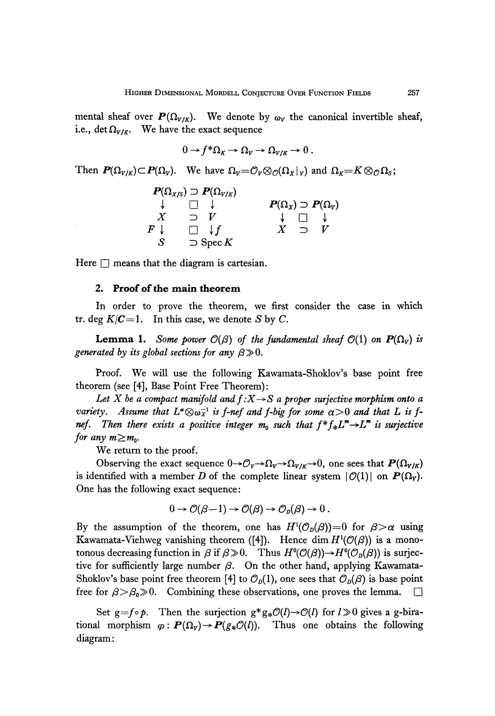mental sheaf over  $P(\Omega_{V/K})$ . We denote by  $\omega_V$  the canonical invertible sheaf, i.e., det  $\Omega_{V/K}$ . We have the exact sequence

$$
0 \to f^* \Omega_K \to \Omega_V \to \Omega_{V/K} \to 0.
$$

Then  $P(\Omega_{V/K}) \subset P(\Omega_V)$ . We have  $\Omega_V = \mathcal{O}_V \otimes_{\mathcal{O}} (\Omega_X|_V)$  and  $\Omega_K =$ 

|                  | $P(\Omega_{X/S}) \supset P(\Omega_{V/K})$ |                                   |                          |  |
|------------------|-------------------------------------------|-----------------------------------|--------------------------|--|
|                  |                                           | $P(\Omega_X) \supset P(\Omega_V)$ |                          |  |
| $\boldsymbol{X}$ | $\neg$ $V$                                |                                   |                          |  |
| $F$ l            | $\Box$ $\downarrow$ f                     |                                   | $\overline{\phantom{0}}$ |  |
| <b>S</b>         | $\supset$ Spec K                          |                                   |                          |  |

Here  $\Box$  means that the diagram is cartesian.

#### **2. Proof of the main theorem**

In order to prove the theorem, we first consider the case in which tr. deg  $K/C=1$ . In this case, we denote S by C.

**Lemma 1.** Some power  $\mathcal{O}(\beta)$  of the fundamental sheaf  $\mathcal{O}(1)$  on  $\mathbf{P}(\Omega_V)$  is *generated by its global sections for any*  $\beta \gg 0$ .

Proof. We will use the following Kawamata-Shoklov's base point free theorem (see [4], Base Point Free Theorem):

Let X be a compact manifold and  $f: X \rightarrow S$  a proper surjective morphism onto a  $\emph{variety}.$  Assume that  $L^{\infty}\otimes \omega_X^{-1}$  is f-nef and f-big for some  $\alpha{>}0$  and that  $L$  is fnef. Then there exists a positive integer  $m_0$  such that  $f^*f_*L^m \rightarrow L^m$  is surjective *for any*  $m \ge m_0$ .

We return to the proof.

Observing the exact sequence  $0 \rightarrow C_V \rightarrow \Omega_V \rightarrow \Omega_{V/K} \rightarrow 0$ , one sees that  $P(\Omega_{V/K})$ is identified with a member  $D$  of the complete linear system  $|\,\mathcal{O}(1)|$  on  $\bm{P}(\Omega_V).$ One has the following exact sequence:

$$
0\to \mathcal{O}(\beta-1)\to \mathcal{O}(\beta)\to \mathcal{O}_D(\beta)\to 0.
$$

By the assumption of the theorem, one has  $H^1(\mathcal{O}_D(\beta))=0$  for  $\beta > \alpha$  using Kawamata-Viehweg vanishing theorem ([4]). Hence dim  $H^1(\mathcal{O}(\beta))$  is a monotonous decreasing function in  $\beta$  if  $\beta \!\gg\! 0$ . Thus  $H^0(\mathcal{O}(\beta)) {\rightarrow} H^0(\mathcal{O}_D(\beta))$  is surjec tive for sufficiently large number *β.* On the other hand, applying Kawamata Shoklov's base point free theorem [4] to  $\mathcal{O}_D(1)$ , one sees that  $\mathcal{O}_D(\beta)$  is base point free for  $\beta > \beta_0 \gg 0$ . Combining these observations, one proves the lemma.  $\square$ 

Set  $g=f \circ p$ . Then the surjection  $g * g * \mathcal{O}(l) \rightarrow \mathcal{O}(l)$  for  $l \gg 0$  gives a g-birational morphism  $\varphi : \mathbf{P}(\Omega_V) \to \mathbf{P}(g_*\mathcal{O}(l)).$  Thus one obtains the following diagram: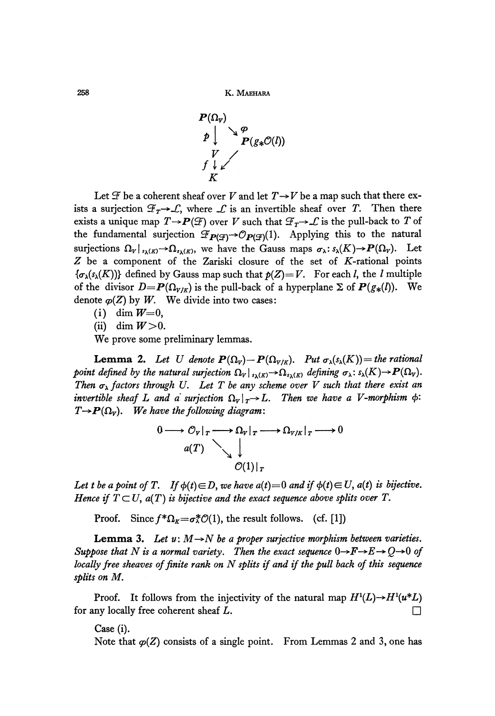

Let  $\mathcal F$  be a coherent sheaf over *V* and let  $T\rightarrow V$  be a map such that there exists a surjection  $\mathcal{F}_T \rightarrow \mathcal{L}$ , where  $\mathcal{L}$  is an invertible sheaf over  $T$ . Then there exists a unique map  $T{\rightarrow} \boldsymbol{P}(\mathcal{F})$  over  $V$  such that  $\mathcal{F}_T{\rightarrow}\mathcal{L}$  is the pull-back to  $T$  of the fundamental surjection  $\mathcal{F}_{\boldsymbol{P}(\mathcal{G})}\!\!\rightarrow\!\!\mathcal{O}_{\boldsymbol{P}(\mathcal{G})}\!(1).$  Applying this to the natural surjections  $\Omega_V|_{s_\lambda(K)} \to \Omega_{s_\lambda(K)}$ , we have the Gauss maps  $\sigma_\lambda : s_\lambda(K) \to P(\Omega_V)$ . Let  $Z$  be a component of the Zariski closure of the set of  $K$ -rational points  $\{\sigma_{\lambda}(s_{\lambda}(K))\}$  defined by Gauss map such that  $p(Z)=V$ . For each *l*, the *l* multiple of the divisor  $D = P(\Omega_{V/K})$  is the pull-back of a hyperplane  $\Sigma$  of  $P(g_*(l))$ . We denote  $\varphi(Z)$  by W. We divide into two cases:

- (i) dim  $W=0$ ,
- (ii) dim  $W > 0$ .

We prove some preliminary lemmas.

**Lemma 2.** Let U denote  $P(\Omega_V) - P(\Omega_{V/K})$ . Put  $\sigma_\lambda(s_\lambda(K)) =$  the rational *point defined by the natural surjection*  $\Omega_V|_{s_\lambda(K)} \to \Omega_{s_\lambda(K)}$  *defining*  $\sigma_\lambda : s_\lambda(K) \to P(\Omega_V)$ . *Then*  $\sigma_{\lambda}$  factors through U. Let T be any scheme over V such that there exist an  $\bm{i}$  *nvertible sheaf*  $L$  *and a surjection*  $\Omega_{\bm{V}}|_{\bm{\tau}} \rightarrow L$ . Then we have a V-morphism  $\phi$ :  $T \rightarrow P(\Omega_V)$ . We have the following diagram:

$$
0 \longrightarrow \mathcal{O}_V|_T \longrightarrow \Omega_V|_T \longrightarrow \Omega_{V/K}|_T \longrightarrow 0
$$
  
\n
$$
a(T) \qquad \qquad d(T)|_T
$$

Let t be a point of T. If  $\phi(t) \in D$ , we have  $a(t) = 0$  and if  $\phi(t) \in U$ ,  $a(t)$  is bijective. *Hence if*  $T \subset U$ ,  $a(T)$  *is bijective and the exact sequence above splits over*  $T$ .

Proof. Since  $f^*\Omega_g = \sigma^* \mathcal{O}(1)$ , the result follows. (cf. [1])

**Lemma 3.** Let  $u: M \rightarrow N$  be a proper surjective morphism between varieties. *Suppose that N is a normal variety. Then the exact sequence*  $0\rightarrow F\rightarrow E\rightarrow Q\rightarrow 0$  of *locally free sheaves of finite rank on N splits if and if the pull back of this sequence splits on M.*

Proof. It follows from the injectivity of the natural map  $H^1(L) \rightarrow H^1(u^*L)$ for any locally free coherent sheaf L.

Case (i).

Note that  $\varphi(Z)$  consists of a single point. From Lemmas 2 and 3, one has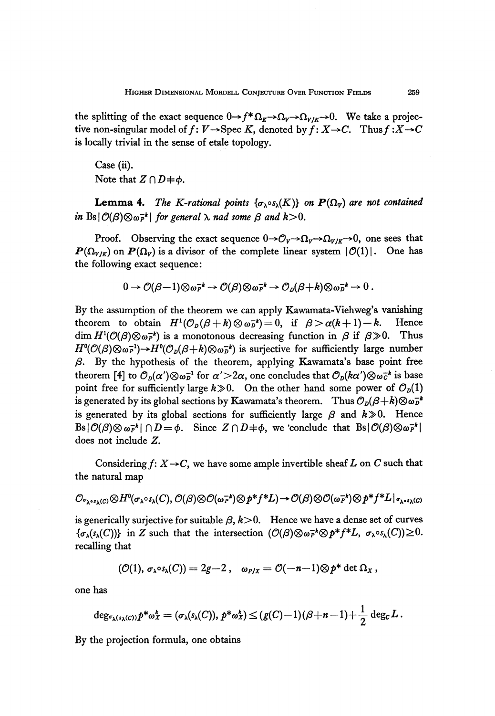the splitting of the exact sequence  $0 \rightarrow f^*Ω_K \rightarrow Ω_V \rightarrow Ω_{V/K} \rightarrow 0$ . We take a projec tive non-singular model of  $f: V \rightarrow \text{Spec } K$ , denoted by  $f: X \rightarrow C$ . Thus  $f: X \rightarrow C$ is locally trivial in the sense of etale topology.

Case (ii). Note that  $Z \cap D = \phi$ .

**Lemma 4.** The K-rational points  $\{\sigma_{\lambda} \circ s_{\lambda}(K)\}$  on  $P(\Omega_V)$  are not contained  $\int \ln \text{Bs} |\mathcal{O}(\beta) \otimes \omega_P^{-k}|$  for general  $\lambda$  nad some  $\beta$  and  $k > 0$ .

Proof. Observing the exact sequence  $0 \rightarrow O_V \rightarrow \Omega_V \rightarrow \Omega_{V/K} \rightarrow 0$ , one sees that  $P(\Omega_{V/K})$  on  $P(\Omega_V)$  is a divisor of the complete linear system  $|\mathcal{O}(1)|$ . One has the following exact sequence:

$$
0 \to \mathcal{O}(\beta-1) \otimes \omega_P^{-k} \to \mathcal{O}(\beta) \otimes \omega_P^{-k} \to \mathcal{O}_D(\beta+k) \otimes \omega_D^{-k} \to 0.
$$

By the assumption of the theorem we can apply Kawamata-Viehweg's vanishing theorem to obtain  $H^1(\mathcal{O}_D(\beta + k) \otimes \omega_D^{-k}) = 0$ , if  $\beta > \alpha(k + 1) - k$ . Hence dim  $H^1(\mathcal{O}(\beta)\otimes \omega_P^{-k})$  is a monotonous decreasing function in  $\beta$  if  $\beta\gg 0$ . Thus  $H^0(\mathcal{O}(\beta)\otimes \omega_P^{-1}){\rightarrow} H^0(\mathcal{O}_D(\beta+k)\otimes \omega_P^{-k})$  is surjective for sufficiently large number *β.* By the hypothesis of the theorem, applying Kawamata's base point free theorem [4] to  $\mathcal{O}_D(\alpha')\otimes\omega_D^{-1}$  for  $\alpha'\!\!>\!\!2\alpha$ , one concludes that  $\mathcal{O}_D(k\alpha')\!\otimes\omega_C^{-k}$  is base  $\text{point free for sufficiently large } k \gg 0.$  On the other hand some power of  $\mathcal{O}_p(1)$ ls generated by its global sections by Kawamata's theorem.  $\;\;$  Thus  $\mathcal{O}_D(\beta + k) \otimes \omega_D^{-k}$ is generated by its global sections for sufficiently large  $\beta$  and  $k \gg 0$ . Hence  $B$ s $|\mathcal{O}(\beta) \otimes \omega_P^{-k}| \cap D = \phi$ . Since  $Z \cap D = \phi$ , we conclude that  $B$ s $|\mathcal{O}(\beta) \otimes \omega_P^{-k}|$ does not include *Z.*

Considering  $f: X \rightarrow C$ , we have some ample invertible sheaf *L* on *C* such that the natural map

$$
\mathcal{O}_{\sigma_{\lambda^{*S}\lambda}(C)}\otimes H^0(\sigma_{\lambda}\circ \mathfrak{s}_{\lambda}(C),\mathcal{O}(\beta)\otimes \mathcal{O}(\omega_F^{-k})\otimes p^*f^*L)\rightarrow \mathcal{O}(\beta)\otimes \mathcal{O}(\omega_F^{-k})\otimes p^*f^*L|_{\sigma_{\lambda^{*S}\lambda}(C)}
$$

is generically surjective for suitable  $\beta$ ,  $k>0$ . Hence we have a dense set of curves  ${\{\sigma_\lambda(s_\lambda(C))\}}$  in Z such that the intersection  $(\mathcal{O}(\beta)\otimes \omega_P^{-k}\otimes p^*f^*L, \sigma_\lambda\circ s_\lambda(C))\geq 0$ . recalling that

$$
(\mathcal{O}(1), \sigma_{\lambda} \circ s_{\lambda}(C)) = 2g-2, \quad \omega_{P/X} = \mathcal{O}(-n-1) \otimes p^* \det \Omega_X,
$$

one has

$$
\deg_{\sigma_{\lambda}(s_{\lambda}(C))} p^* \omega_x^k = (\sigma_{\lambda}(s_{\lambda}(C)), p^* \omega_x^k) \leq (g(C)-1)(\beta+n-1)+\frac{1}{2}\deg_{C} L.
$$

By the projection formula, one obtains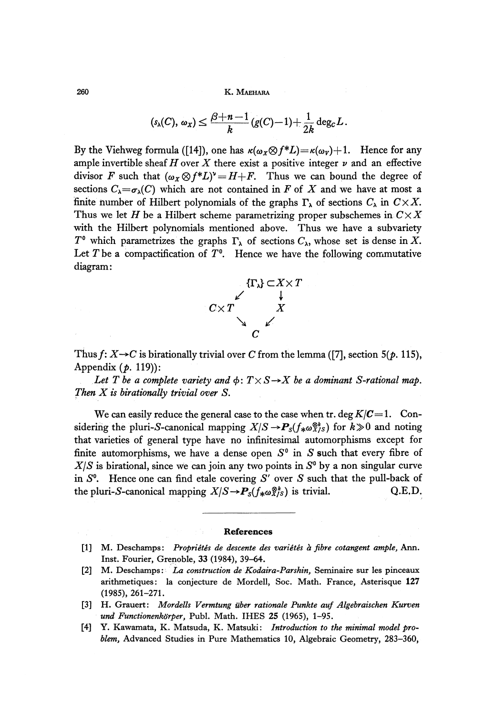**260 K. MAEHARA**

$$
(\mathfrak{s}_{\lambda}(C), \omega_X) \leq \frac{\beta+n-1}{k} (g(C)-1) + \frac{1}{2k} \deg_{C} L.
$$

By the Viehweg formula ([14]), one has  $\kappa(\omega_X \otimes f^*L) = \kappa(\omega_V) + 1$ . Hence for any ample invertible sheaf *H* over *X* there exist a positive integer *v* and an effective divisor *F* such that  $(\omega_X \otimes f^*L)^{\nu} = H + F$ . Thus we can bound the degree of sections  $C_{\lambda} = \sigma_{\lambda}(C)$  which are not contained in *F* of *X* and we have at most a finite number of Hilbert polynomials of the graphs  $\Gamma_{\lambda}$  of sections  $C_{\lambda}$  in  $C \times X$ . Thus we let *H* be a Hilbert scheme parametrizing proper subschemes in  $C \times X$ with the Hilbert polynomials mentioned above. Thus we have a subvariety *T*<sup>°</sup> which parametrizes the graphs  $Γ_λ$  of sections  $C_λ$ , whose set is dense in X. Let  $T$  be a compactification of  $T<sup>0</sup>$ . Hence we have the following commutative diagram:



Thus  $f: X \rightarrow C$  is birationally trivial over *C* from the lemma ([7], section 5( $p$ . 115), Appendix *(p.* 119)):

*Let T be a complete variety and*  $\phi$ :  $T \times S \rightarrow X$  *be a dominant S-rational map. Then X is birationally trivial over S.*

We can easily reduce the general case to the case when tr. deg  $K/C=1$ . Considering the pluri-S-canonical mapping  $X/S \to \mathbf{P}_s(f_{*} \omega_{X/S}^{\otimes k})$  for  $k \gg 0$  and noting that varieties of general type have no infinitesimal automorphisms except for finite automorphisms, we have a dense open  $S^0$  in  $S$  such that every fibre of  $X/S$  is birational, since we can join any two points in  $S<sup>0</sup>$  by a non singular curve in  $S^0$ . Hence one can find etale covering S' over S such that the pull-back of the pluri-*S*-canonical mapping  $X/S \to P_s(f_*\omega_{X/S}^{\otimes k})$  is trivial. Q.E.D.

#### **References**

- **[1] M. Deschamps:** *Propήetes de descente des varietes a fibre cotangent ample,* **Ann.** Inst. Fourier, Grenoble, 33 (1984), 39-64.
- [2] M. Deschamps; *La construction de Kodaira-Parshin,* Seminaire sur les pinceaux arithmetiques: la conjecture de Mordell, Soc. Math. France, Asterisque **127** (1985), 261-271.
- **[3] H. Grauert:** *Motdells Vermtung uber rationale Punkte auf Algebraischen Kurven und Functionenkδrper,* Publ. Math. IHES 25 (1965), 1-95.
- **[4] Y. Kawamata, K. Matsuda, K. Matsuki:** *Introduction to the minimal model problem,* Advanced Studies in Pure Mathematics 10, Algebraic Geometry, 283-360,